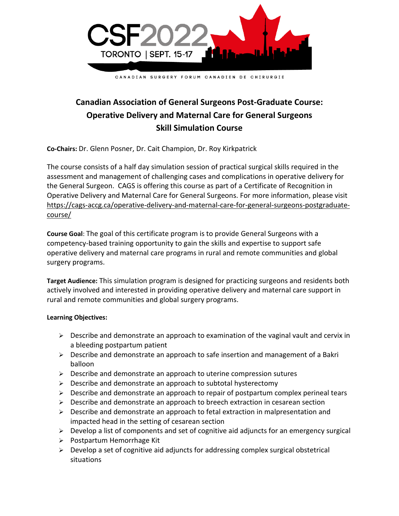

## **Canadian Association of General Surgeons Post-Graduate Course: Operative Delivery and Maternal Care for General Surgeons Skill Simulation Course**

**Co-Chairs:** Dr. Glenn Posner, Dr. Cait Champion, Dr. Roy Kirkpatrick

The course consists of a half day simulation session of practical surgical skills required in the assessment and management of challenging cases and complications in operative delivery for the General Surgeon. CAGS is offering this course as part of a Certificate of Recognition in Operative Delivery and Maternal Care for General Surgeons. For more information, please visit [https://cags-accg.ca/operative-delivery-and-maternal-care-for-general-surgeons-postgraduate](https://cags-accg.ca/operative-delivery-and-maternal-care-for-general-surgeons-postgraduate-course/)[course/](https://cags-accg.ca/operative-delivery-and-maternal-care-for-general-surgeons-postgraduate-course/)

**Course Goal**: The goal of this certificate program is to provide General Surgeons with a competency-based training opportunity to gain the skills and expertise to support safe operative delivery and maternal care programs in rural and remote communities and global surgery programs.

**Target Audience:** This simulation program is designed for practicing surgeons and residents both actively involved and interested in providing operative delivery and maternal care support in rural and remote communities and global surgery programs.

## **Learning Objectives:**

- $\triangleright$  Describe and demonstrate an approach to examination of the vaginal vault and cervix in a bleeding postpartum patient
- ➢ Describe and demonstrate an approach to safe insertion and management of a Bakri balloon
- ➢ Describe and demonstrate an approach to uterine compression sutures
- ➢ Describe and demonstrate an approach to subtotal hysterectomy
- $\triangleright$  Describe and demonstrate an approach to repair of postpartum complex perineal tears
- $\triangleright$  Describe and demonstrate an approach to breech extraction in cesarean section
- ➢ Describe and demonstrate an approach to fetal extraction in malpresentation and impacted head in the setting of cesarean section
- $\triangleright$  Develop a list of components and set of cognitive aid adjuncts for an emergency surgical
- ➢ Postpartum Hemorrhage Kit
- $\triangleright$  Develop a set of cognitive aid adjuncts for addressing complex surgical obstetrical situations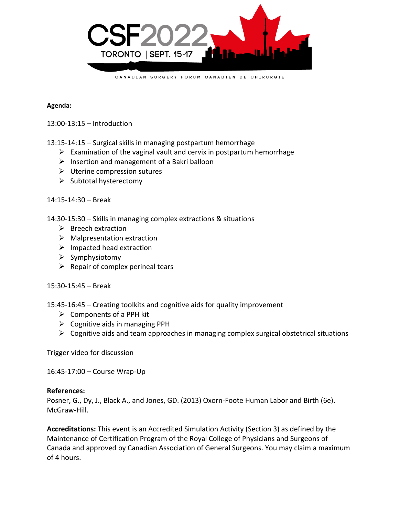

## **Agenda:**

13:00-13:15 – Introduction

13:15-14:15 – Surgical skills in managing postpartum hemorrhage

- $\triangleright$  Examination of the vaginal vault and cervix in postpartum hemorrhage
- $\triangleright$  Insertion and management of a Bakri balloon
- $\triangleright$  Uterine compression sutures
- ➢ Subtotal hysterectomy

14:15-14:30 – Break

14:30-15:30 – Skills in managing complex extractions & situations

- ➢ Breech extraction
- $\triangleright$  Malpresentation extraction
- ➢ Impacted head extraction
- ➢ Symphysiotomy
- $\triangleright$  Repair of complex perineal tears

15:30-15:45 – Break

15:45-16:45 – Creating toolkits and cognitive aids for quality improvement

- $\triangleright$  Components of a PPH kit
- $\triangleright$  Cognitive aids in managing PPH
- $\triangleright$  Cognitive aids and team approaches in managing complex surgical obstetrical situations

Trigger video for discussion

16:45-17:00 – Course Wrap-Up

## **References:**

Posner, G., Dy, J., Black A., and Jones, GD. (2013) Oxorn-Foote Human Labor and Birth (6e). McGraw-Hill.

**Accreditations:** This event is an Accredited Simulation Activity (Section 3) as defined by the Maintenance of Certification Program of the Royal College of Physicians and Surgeons of Canada and approved by Canadian Association of General Surgeons. You may claim a maximum of 4 hours.